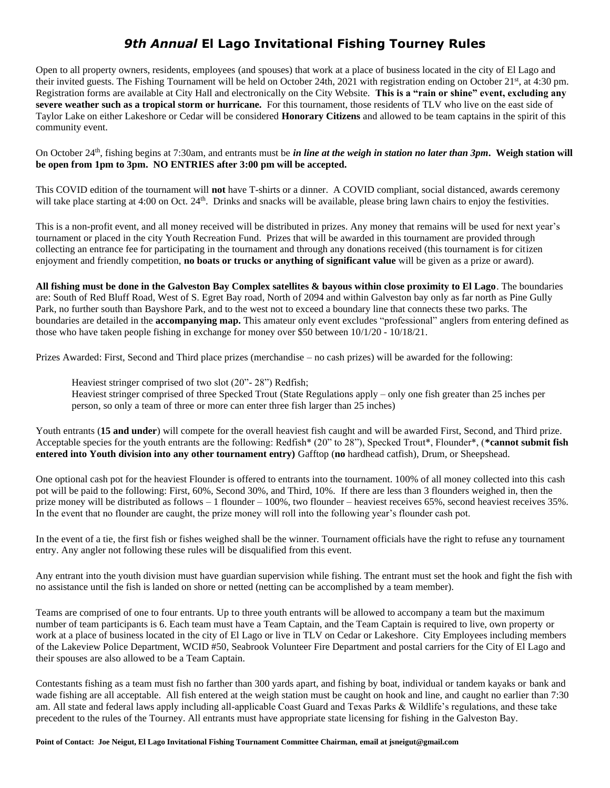## *9th Annual* **El Lago Invitational Fishing Tourney Rules**

Open to all property owners, residents, employees (and spouses) that work at a place of business located in the city of El Lago and their invited guests. The Fishing Tournament will be held on October 24th, 2021 with registration ending on October 21st, at 4:30 pm. Registration forms are available at City Hall and electronically on the City Website. **This is a "rain or shine" event, excluding any severe weather such as a tropical storm or hurricane.** For this tournament, those residents of TLV who live on the east side of Taylor Lake on either Lakeshore or Cedar will be considered **Honorary Citizens** and allowed to be team captains in the spirit of this community event.

On October 24th, fishing begins at 7:30am, and entrants must be *in line at the weigh in station no later than 3pm***. Weigh station will be open from 1pm to 3pm. NO ENTRIES after 3:00 pm will be accepted.**

This COVID edition of the tournament will **not** have T-shirts or a dinner. A COVID compliant, social distanced, awards ceremony will take place starting at 4:00 on Oct. 24<sup>th</sup>. Drinks and snacks will be available, please bring lawn chairs to enjoy the festivities.

This is a non-profit event, and all money received will be distributed in prizes. Any money that remains will be used for next year's tournament or placed in the city Youth Recreation Fund. Prizes that will be awarded in this tournament are provided through collecting an entrance fee for participating in the tournament and through any donations received (this tournament is for citizen enjoyment and friendly competition, **no boats or trucks or anything of significant value** will be given as a prize or award).

**All fishing must be done in the Galveston Bay Complex satellites & bayous within close proximity to El Lago**. The boundaries are: South of Red Bluff Road, West of S. Egret Bay road, North of 2094 and within Galveston bay only as far north as Pine Gully Park, no further south than Bayshore Park, and to the west not to exceed a boundary line that connects these two parks. The boundaries are detailed in the **accompanying map.** This amateur only event excludes "professional" anglers from entering defined as those who have taken people fishing in exchange for money over \$50 between  $10/1/20 - 10/18/21$ .

Prizes Awarded: First, Second and Third place prizes (merchandise – no cash prizes) will be awarded for the following:

Heaviest stringer comprised of two slot (20"- 28") Redfish;

Heaviest stringer comprised of three Specked Trout (State Regulations apply – only one fish greater than 25 inches per person, so only a team of three or more can enter three fish larger than 25 inches)

Youth entrants (**15 and under**) will compete for the overall heaviest fish caught and will be awarded First, Second, and Third prize. Acceptable species for the youth entrants are the following: Redfish\* (20" to 28"), Specked Trout\*, Flounder\*, (**\*cannot submit fish entered into Youth division into any other tournament entry)** Gafftop (**no** hardhead catfish), Drum, or Sheepshead.

One optional cash pot for the heaviest Flounder is offered to entrants into the tournament. 100% of all money collected into this cash pot will be paid to the following: First, 60%, Second 30%, and Third, 10%. If there are less than 3 flounders weighed in, then the prize money will be distributed as follows – 1 flounder – 100%, two flounder – heaviest receives 65%, second heaviest receives 35%. In the event that no flounder are caught, the prize money will roll into the following year's flounder cash pot.

In the event of a tie, the first fish or fishes weighed shall be the winner. Tournament officials have the right to refuse any tournament entry. Any angler not following these rules will be disqualified from this event.

Any entrant into the youth division must have guardian supervision while fishing. The entrant must set the hook and fight the fish with no assistance until the fish is landed on shore or netted (netting can be accomplished by a team member).

Teams are comprised of one to four entrants. Up to three youth entrants will be allowed to accompany a team but the maximum number of team participants is 6. Each team must have a Team Captain, and the Team Captain is required to live, own property or work at a place of business located in the city of El Lago or live in TLV on Cedar or Lakeshore. City Employees including members of the Lakeview Police Department, WCID #50, Seabrook Volunteer Fire Department and postal carriers for the City of El Lago and their spouses are also allowed to be a Team Captain.

Contestants fishing as a team must fish no farther than 300 yards apart, and fishing by boat, individual or tandem kayaks or bank and wade fishing are all acceptable. All fish entered at the weigh station must be caught on hook and line, and caught no earlier than 7:30 am. All state and federal laws apply including all-applicable Coast Guard and Texas Parks & Wildlife's regulations, and these take precedent to the rules of the Tourney. All entrants must have appropriate state licensing for fishing in the Galveston Bay.

**Point of Contact: Joe Neigut, El Lago Invitational Fishing Tournament Committee Chairman, email at jsneigut@gmail.com**